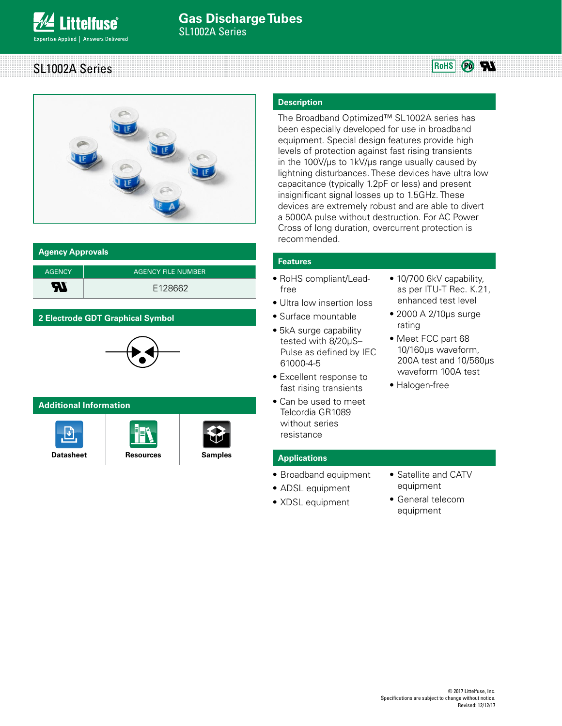**RoHS** SL1002A Series  $P_0$  W



### **Agency Approvals**

| <b>AGENCY</b> | <b>AGENCY FILE NUMBER</b> |
|---------------|---------------------------|
| ЯI            | E128662                   |

# **2 Electrode GDT Graphical Symbol**



# **Additional Information**







# **Description**

The Broadband Optimized™ SL1002A series has been especially developed for use in broadband equipment. Special design features provide high levels of protection against fast rising transients in the 100V/μs to 1kV/μs range usually caused by lightning disturbances. These devices have ultra low capacitance (typically 1.2pF or less) and present insignificant signal losses up to 1.5GHz. These devices are extremely robust and are able to divert a 5000A pulse without destruction. For AC Power Cross of long duration, overcurrent protection is recommended.

# **Features**

- RoHS compliant/Leadfree
- Ultra low insertion loss
- Surface mountable
- 5kA surge capability tested with 8/20μS– Pulse as defined by IEC 61000-4-5
- Excellent response to fast rising transients
- Can be used to meet Telcordia GR1089 without series resistance

## **Applications**

- Broadband equipment
- ADSL equipment
- XDSL equipment
- 10/700 6kV capability, as per ITU-T Rec. K.21, enhanced test level
- 2000 A 2/10μs surge rating
- Meet FCC part 68 10/160μs waveform, 200A test and 10/560μs waveform 100A test
- Halogen-free

- Satellite and CATV equipment
	- General telecom equipment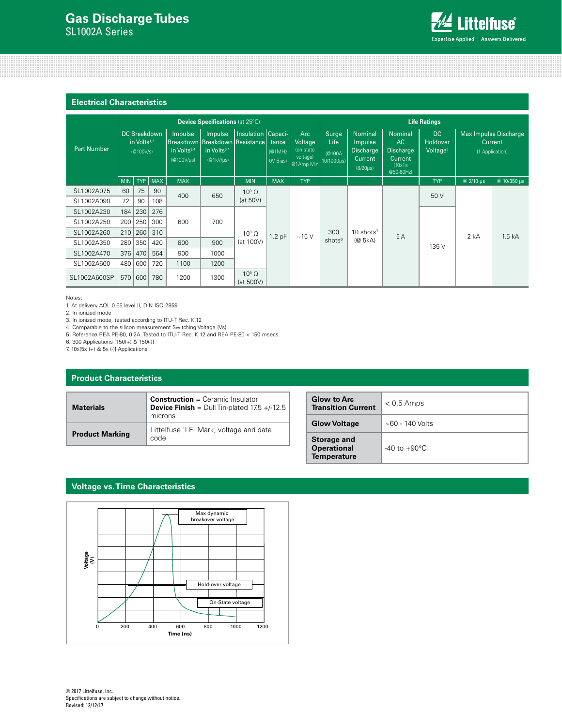

#### **Electrical Characteristics**

|                    | <b>Device Specifications (at 25°C)</b> |                                      |              |                                                              |                                                                                |                                                 | <b>Life Ratings</b>         |                                                       |                                              |                                                                     |                                                                             |                                        |                 |                                  |  |
|--------------------|----------------------------------------|--------------------------------------|--------------|--------------------------------------------------------------|--------------------------------------------------------------------------------|-------------------------------------------------|-----------------------------|-------------------------------------------------------|----------------------------------------------|---------------------------------------------------------------------|-----------------------------------------------------------------------------|----------------------------------------|-----------------|----------------------------------|--|
| <b>Part Number</b> |                                        | in Volts <sup>1,2</sup><br>(@100V/s) | DC Breakdown | <b>Impulse</b><br>in Volts <sup>3,4</sup><br>$(@100V/\mu s)$ | Impulse<br>Breakdown   Breakdown   Resistance  <br>in Volts $3,4$<br>(@1kV/µs) | <b>Insulation Capaci-</b>                       | tance<br>(@1MHz<br>OV Bias) | Arc<br>Voltage<br>(on state)<br>voltage)<br>@1Amp Min | Surge<br><b>Life</b><br>(@100A<br>10/1000us) | Nominal<br>Impulse<br><b>Discharge</b><br>Current<br>$(8/20 \mu s)$ | Nominal<br>AC<br><b>Discharge</b><br><b>Current</b><br>(10x1s)<br>@50-60Hz) | DC<br>Holdover<br>Voltage <sup>5</sup> | (1 Application) | Max Impulse Discharge<br>Current |  |
|                    | <b>MIN</b>                             | TYP                                  | <b>MAX</b>   | <b>MAX</b>                                                   |                                                                                | <b>MIN</b>                                      | <b>MAX</b>                  | <b>TYP</b>                                            |                                              |                                                                     |                                                                             | <b>TYP</b>                             | @ 2/10 us       | @ 10/350 us                      |  |
| SL1002A075         | 60                                     | 75                                   | 90           | 400                                                          | 650                                                                            | $10^9 \Omega$                                   |                             |                                                       | 300                                          | $10$ shots <sup>7</sup>                                             | 5A                                                                          | 50 V                                   | 2 kA            | 1.5 <sub>kA</sub>                |  |
| SL1002A090         | 72                                     | 90                                   | 108          |                                                              |                                                                                | (at 50V)                                        |                             | ~15V                                                  |                                              |                                                                     |                                                                             |                                        |                 |                                  |  |
| SL1002A230         | 184                                    | 230                                  | 276          |                                                              | 700                                                                            | $10^9 \Omega$<br>1.2 <sub>pF</sub><br>(at 100V) |                             |                                                       |                                              |                                                                     |                                                                             |                                        |                 |                                  |  |
| SL1002A250         | 200                                    | 250                                  | 300          | 600                                                          |                                                                                |                                                 |                             |                                                       |                                              |                                                                     |                                                                             |                                        |                 |                                  |  |
| SL1002A260         | 210                                    | 260                                  | 310          |                                                              |                                                                                |                                                 |                             |                                                       |                                              |                                                                     |                                                                             |                                        |                 |                                  |  |
| SL1002A350         | 280                                    | 350                                  | 420          | 800                                                          | 900                                                                            |                                                 |                             | shots <sup>6</sup>                                    | (@5kA)                                       |                                                                     | 135 V                                                                       |                                        |                 |                                  |  |
| SL1002A470         | 376                                    | 470                                  | 564          | 900                                                          | 1000                                                                           |                                                 |                             |                                                       |                                              |                                                                     |                                                                             |                                        |                 |                                  |  |
| SL1002A600         | 480                                    | 600                                  | 720          | 1100                                                         | 1200                                                                           |                                                 |                             |                                                       |                                              |                                                                     |                                                                             |                                        |                 |                                  |  |
| SL1002A600SP       | 570                                    | 600                                  | 780          | 1200                                                         | 1300                                                                           | $10^9 \Omega$<br>(at 500V)                      |                             |                                                       |                                              |                                                                     |                                                                             |                                        |                 |                                  |  |

Notes:

1. At delivery AQL 0.65 level II, DIN ISO 2859

2. In ionized mode

3. In ionized mode, tested according to ITU-T Rec. K.12

4. Comparable to the silicon measurement Switching Voltage (Vs)

5. Reference REA PE-80, 0.2A. Tested to ITU-T Rec. K.12 and REA PE-80 < 150 msecs.

6. 300 Applications [150(+) & 150(-)]

7. 10x[5x (+) & 5x (-)] Applications

### **Product Characteristics**

| <b>Materials</b>       | <b>Construction</b> = Ceramic Insulator<br><b>Device Finish</b> = $Dull Tin-plated 17.5 +/-12.5$<br>microns |  |  |
|------------------------|-------------------------------------------------------------------------------------------------------------|--|--|
| <b>Product Marking</b> | Littelfuse 'LF' Mark, voltage and date<br>code                                                              |  |  |

| <b>Glow to Arc</b><br><b>Transition Current</b>                | $< 0.5$ Amps             |
|----------------------------------------------------------------|--------------------------|
| <b>Glow Voltage</b>                                            | $~140$ Volts             |
| <b>Storage and</b><br><b>Operational</b><br><b>Temperature</b> | $-40$ to $+90^{\circ}$ C |

### **Voltage vs. Time Characteristics**

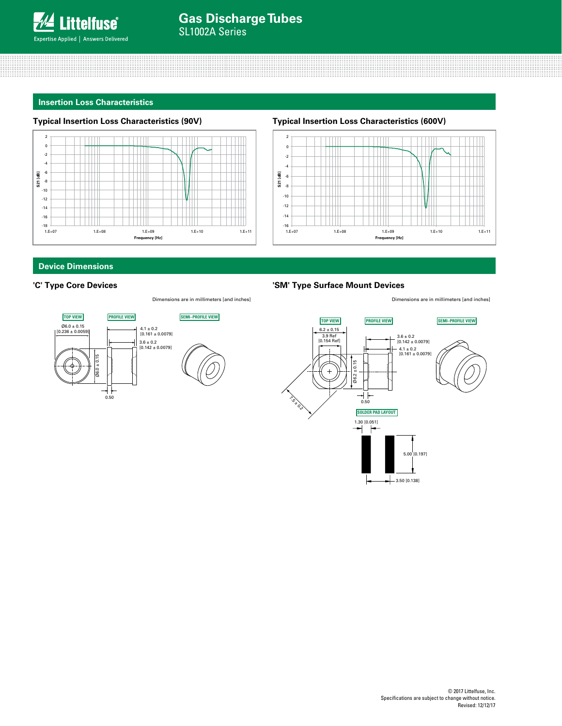

#### **Insertion Loss Characteristics**

#### **Typical Insertion Loss Characteristics (90V)**



### **Typical Insertion Loss Characteristics (600V)**



# **Device Dimensions**

#### **'C' Type Core Devices**



#### **'SM' Type Surface Mount Devices**

Dimensions are in millimeters [and inches] Dimensions are in millimeters [and inches]





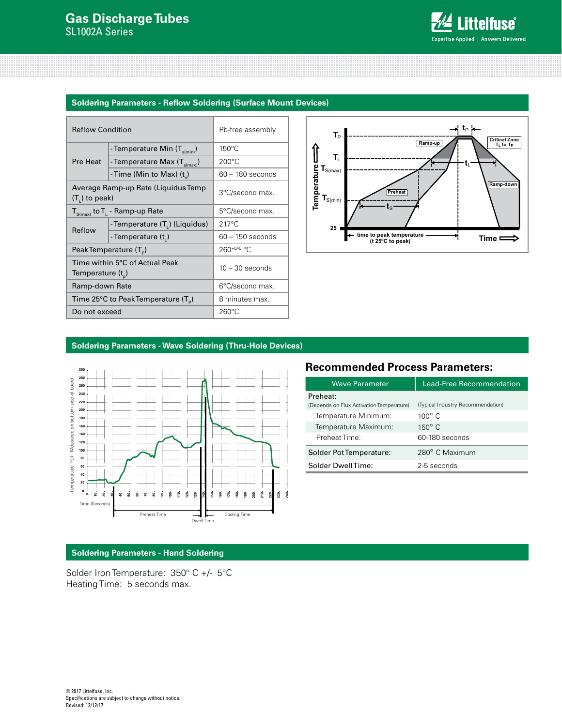

### **Soldering Parameters - Reflow Soldering (Surface Mount Devices)**

| <b>Reflow Condition</b> |                                             | Pb-free assembly   |  |  |
|-------------------------|---------------------------------------------|--------------------|--|--|
|                         | - Temperature Min (T <sub>s(min)</sub> )    | $150^{\circ}$ C    |  |  |
| Pre Heat                | -Temperature Max $(T_{\text{s(max)}})$      | $200^{\circ}$ C    |  |  |
|                         | -Time (Min to Max) (t)                      | $60 - 180$ seconds |  |  |
| $(T1)$ to peak)         | Average Ramp-up Rate (Liquidus Temp         | 3°C/second max.    |  |  |
|                         | $T_{S(max)}$ to $T_{L}$ - Ramp-up Rate      | 5°C/second max.    |  |  |
| Reflow                  | -Temperature (T.) (Liquidus)                | $217^{\circ}$ C    |  |  |
|                         | - Temperature (t <sub>1</sub> )             | $60 - 150$ seconds |  |  |
|                         | Peak Temperature (T <sub>e</sub> )          | $260^{+0/5}$ °C    |  |  |
| Temperature $(t_{p})$   | Time within 5°C of Actual Peak              | $10 - 30$ seconds  |  |  |
| Ramp-down Rate          |                                             | 6°C/second max.    |  |  |
|                         | Time 25°C to Peak Temperature $(T_{\circ})$ | 8 minutes max.     |  |  |
| Do not exceed           |                                             | $260^{\circ}$ C    |  |  |



## **Soldering Parameters - Wave Soldering (Thru-Hole Devices)**



# **Recommended Process Parameters:**

| <b>Wave Parameter</b>                    | Lead-Free Recommendation          |  |  |
|------------------------------------------|-----------------------------------|--|--|
| Preheat:                                 |                                   |  |  |
| (Depends on Flux Activation Temperature) | (Typical Industry Recommendation) |  |  |
| Temperature Minimum:                     | $100^{\circ}$ C.                  |  |  |
| Temperature Maximum:                     | $150^{\circ}$ C                   |  |  |
| Preheat Time:                            | 60-180 seconds                    |  |  |
| Solder Pot Temperature:                  | 280° C Maximum                    |  |  |
| Solder DwellTime:                        | 2-5 seconds                       |  |  |

# **Soldering Parameters - Hand Soldering**

Solder Iron Temperature: 350° C +/- 5°C Heating Time: 5 seconds max.